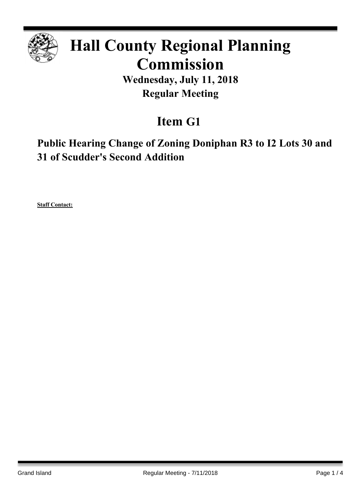

# **Hall County Regional Planning Commission**

**Wednesday, July 11, 2018 Regular Meeting**

# **Item G1**

**Public Hearing Change of Zoning Doniphan R3 to I2 Lots 30 and 31 of Scudder's Second Addition**

**Staff Contact:**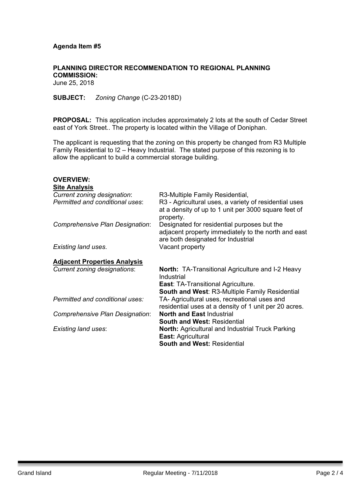#### **Agenda Item #5**

## **PLANNING DIRECTOR RECOMMENDATION TO REGIONAL PLANNING COMMISSION:**

June 25, 2018

**SUBJECT:** *Zoning Change* (C-23-2018D)

**PROPOSAL:** This application includes approximately 2 lots at the south of Cedar Street east of York Street.. The property is located within the Village of Doniphan.

The applicant is requesting that the zoning on this property be changed from R3 Multiple Family Residential to I2 – Heavy Industrial. The stated purpose of this rezoning is to allow the applicant to build a commercial storage building.

| <b>OVERVIEW:</b>                    |                                                                                                                                          |
|-------------------------------------|------------------------------------------------------------------------------------------------------------------------------------------|
| <b>Site Analysis</b>                |                                                                                                                                          |
| Current zoning designation:         | R3-Multiple Family Residential,                                                                                                          |
| Permitted and conditional uses:     | R3 - Agricultural uses, a variety of residential uses<br>at a density of up to 1 unit per 3000 square feet of<br>property.               |
| Comprehensive Plan Designation:     | Designated for residential purposes but the<br>adjacent property immediately to the north and east<br>are both designated for Industrial |
| Existing land uses.                 | Vacant property                                                                                                                          |
| <b>Adjacent Properties Analysis</b> |                                                                                                                                          |
| Current zoning designations:        | <b>North:</b> TA-Transitional Agriculture and I-2 Heavy<br>Industrial                                                                    |
|                                     | <b>East: TA-Transitional Agriculture.</b>                                                                                                |
|                                     | <b>South and West: R3-Multiple Family Residential</b>                                                                                    |
| Permitted and conditional uses:     | TA- Agricultural uses, recreational uses and                                                                                             |
|                                     | residential uses at a density of 1 unit per 20 acres.                                                                                    |
| Comprehensive Plan Designation:     | <b>North and East Industrial</b>                                                                                                         |
|                                     | <b>South and West: Residential</b>                                                                                                       |
| <b>Existing land uses:</b>          | <b>North: Agricultural and Industrial Truck Parking</b>                                                                                  |
|                                     | <b>East: Agricultural</b>                                                                                                                |
|                                     | <b>South and West: Residential</b>                                                                                                       |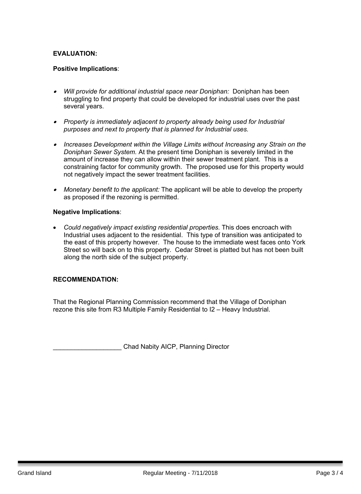## **EVALUATION:**

#### **Positive Implications**:

- *Will provide for additional industrial space near Doniphan:* Doniphan has been struggling to find property that could be developed for industrial uses over the past several years.
- *Property is immediately adjacent to property already being used for Industrial purposes and next to property that is planned for Industrial uses.*
- *Increases Development within the Village Limits without Increasing any Strain on the Doniphan Sewer System.* At the present time Doniphan is severely limited in the amount of increase they can allow within their sewer treatment plant. This is a constraining factor for community growth. The proposed use for this property would not negatively impact the sewer treatment facilities.
- *Monetary benefit to the applicant:* The applicant will be able to develop the property as proposed if the rezoning is permitted.

#### **Negative Implications**:

 *Could negatively impact existing residential properties.* This does encroach with Industrial uses adjacent to the residential. This type of transition was anticipated to the east of this property however. The house to the immediate west faces onto York Street so will back on to this property. Cedar Street is platted but has not been built along the north side of the subject property.

#### **RECOMMENDATION:**

That the Regional Planning Commission recommend that the Village of Doniphan rezone this site from R3 Multiple Family Residential to I2 – Heavy Industrial.

Chad Nabity AICP, Planning Director